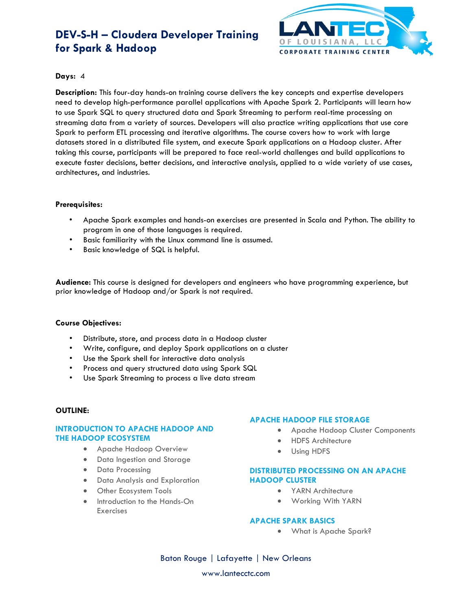# **DEV-S-H – Cloudera Developer Training for Spark & Hadoop**



## **Days:** 4

**Description:** This four-day hands-on training course delivers the key concepts and expertise developers need to develop high-performance parallel applications with Apache Spark 2. Participants will learn how to use Spark SQL to query structured data and Spark Streaming to perform real-time processing on streaming data from a variety of sources. Developers will also practice writing applications that use core Spark to perform ETL processing and iterative algorithms. The course covers how to work with large datasets stored in a distributed file system, and execute Spark applications on a Hadoop cluster. After taking this course, participants will be prepared to face real-world challenges and build applications to execute faster decisions, better decisions, and interactive analysis, applied to a wide variety of use cases, architectures, and industries.

### **Prerequisites:**

- Apache Spark examples and hands-on exercises are presented in Scala and Python. The ability to program in one of those languages is required.
- Basic familiarity with the Linux command line is assumed.
- Basic knowledge of SQL is helpful.

**Audience:** This course is designed for developers and engineers who have programming experience, but prior knowledge of Hadoop and/or Spark is not required.

### **Course Objectives:**

- Distribute, store, and process data in a Hadoop cluster
- Write, configure, and deploy Spark applications on a cluster
- Use the Spark shell for interactive data analysis
- Process and query structured data using Spark SQL
- Use Spark Streaming to process a live data stream

### **OUTLINE:**

## **INTRODUCTION TO APACHE HADOOP AND THE HADOOP ECOSYSTEM**

- Apache Hadoop Overview
- Data Ingestion and Storage
- Data Processing
- Data Analysis and Exploration
- Other Ecosystem Tools
- Introduction to the Hands-On **Exercises**

### **APACHE HADOOP FILE STORAGE**

- Apache Hadoop Cluster Components
	- HDFS Architecture
- Using HDFS

## **DISTRIBUTED PROCESSING ON AN APACHE HADOOP CLUSTER**

- YARN Architecture
- Working With YARN

### **APACHE SPARK BASICS**

• What is Apache Spark?

Baton Rouge | Lafayette | New Orleans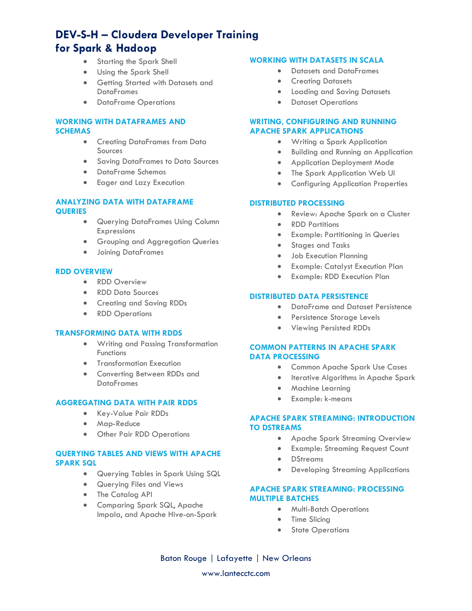# **DEV-S-H – Cloudera Developer Training for Spark & Hadoop**

- Starting the Spark Shell
- Using the Spark Shell
- Getting Started with Datasets and **DataFrames**
- DataFrame Operations

# **WORKING WITH DATAFRAMES AND SCHEMAS**

- Creating DataFrames from Data Sources
- Saving DataFrames to Data Sources
- DataFrame Schemas
- Eager and Lazy Execution

#### **ANALYZING DATA WITH DATAFRAME QUERIES**

- Querying DataFrames Using Column Expressions
- Grouping and Aggregation Queries
- Joining DataFrames

## **RDD OVERVIEW**

- RDD Overview
- RDD Data Sources
- Creating and Saving RDDs
- RDD Operations

## **TRANSFORMING DATA WITH RDDS**

- Writing and Passing Transformation **Functions**
- Transformation Execution
- Converting Between RDDs and **DataFrames**

## **AGGREGATING DATA WITH PAIR RDDS**

- Key-Value Pair RDDs
- Map-Reduce
- Other Pair RDD Operations

### **QUERYING TABLES AND VIEWS WITH APACHE SPARK SQL**

- Querying Tables in Spark Using SQL
- Querying Files and Views
- The Catalog API
- Comparing Spark SQL, Apache Impala, and Apache Hive-on-Spark

#### **WORKING WITH DATASETS IN SCALA**

- Datasets and DataFrames
- Creating Datasets
- Loading and Saving Datasets
- Dataset Operations

## **WRITING, CONFIGURING AND RUNNING APACHE SPARK APPLICATIONS**

- Writing a Spark Application
- Building and Running an Application
- Application Deployment Mode
- The Spark Application Web UI
- Configuring Application Properties

#### **DISTRIBUTED PROCESSING**

- Review: Apache Spark on a Cluster
- RDD Partitions
- Example: Partitioning in Queries
- Stages and Tasks
- Job Execution Planning
- Example: Catalyst Execution Plan
- Example: RDD Execution Plan

#### **DISTRIBUTED DATA PERSISTENCE**

- DataFrame and Dataset Persistence
- Persistence Storage Levels
- Viewing Persisted RDDs

## **COMMON PATTERNS IN APACHE SPARK DATA PROCESSING**

- Common Apache Spark Use Cases
- Iterative Algorithms in Apache Spark
- Machine Learning
- Example: k-means

## **APACHE SPARK STREAMING: INTRODUCTION TO DSTREAMS**

- Apache Spark Streaming Overview
- Example: Streaming Request Count
- DStreams
- Developing Streaming Applications

## **APACHE SPARK STREAMING: PROCESSING MULTIPLE BATCHES**

- Multi-Batch Operations
- Time Slicing
- State Operations

Baton Rouge | Lafayette | New Orleans